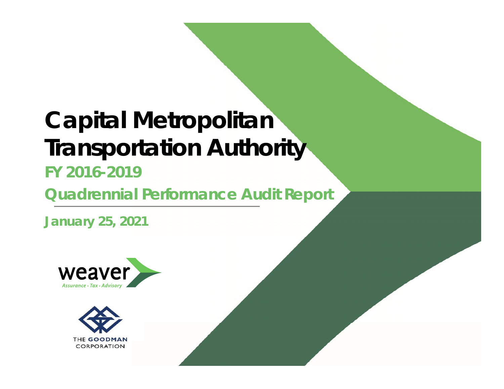# **Capital Metropolitan Transportation Authority**

### **FY 2016-2019**

**Quadrennial Performance Audit Report**

**January 25, 2021**



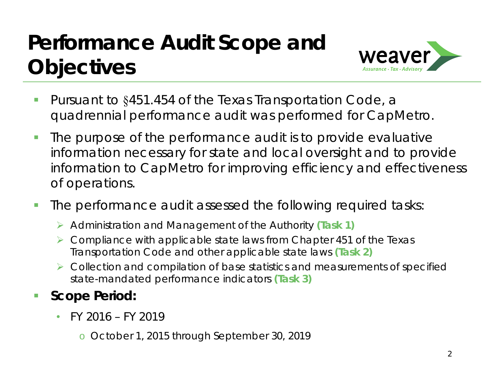### **Performance Audit Scope and Objectives**



- Г ■ Pursuant to §451.454 of the Texas Transportation Code, a quadrennial performance audit was performed for CapMetro.
- $\overline{\phantom{a}}$  The purpose of the performance audit is to provide evaluative information necessary for state and local oversight and to provide information to CapMetro for improving efficiency and effectiveness of operations.
- п The performance audit assessed the following required tasks:
	- Administration and Management of the Authority **(Task 1)**
	- ▶ Compliance with applicable state laws from Chapter 451 of the Texas Transportation Code and other applicable state laws **(Task 2)**
	- Collection and compilation of base statistics and measurements of specified state-mandated performance indicators **(Task 3)**
- þ. **Scope Period:**
	- $\bullet$  FY 2016 – FY 2019
		- o October 1, 2015 through September 30, 2019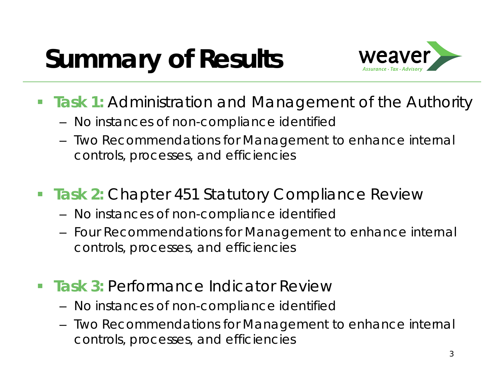# **Summary of Results**



- **Task 1:** Administration and Management of the Authority
	- No instances of non-compliance identified
	- Two Recommendations for Management to enhance internal controls, processes, and efficiencies
- **Task 2: Chapter 451 Statutory Compliance Review** 
	- No instances of non-compliance identified
	- Four Recommendations for Management to enhance internal controls, processes, and efficiencies
- $\mathcal{L}_{\mathcal{A}}$ **Task 3: Performance Indicator Review** 
	- No instances of non-compliance identified
	- Two Recommendations for Management to enhance internal controls, processes, and efficiencies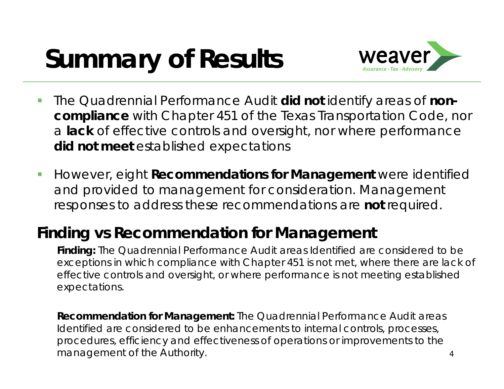# **Summary of Results**



- $\mathcal{C}$  The Quadrennial Performance Audit **did not** identify areas of **noncompliance** with Chapter 451 of the Texas Transportation Code, nor <sup>a</sup>**lack** of effective controls and oversight, nor where performance **did not meet** established expectations
- $\mathbb{R}^n$  However, eight **Recommendations for Management** were identified and provided to management for consideration. Management responses to address these recommendations are **not** required.

### **Finding vs Recommendation for Management**

**Finding:** The Quadrennial Performance Audit areas Identified are considered to be exceptions in which compliance with Chapter 451 is not met, where there are lack of effective controls and oversight, or where performance is not meeting established expectations.

**Recommendation for Management:** The Quadrennial Performance Audit areas Identified are considered to be enhancements to internal controls, processes, procedures, efficiency and effectiveness of operations or improvements to the management of the Authority.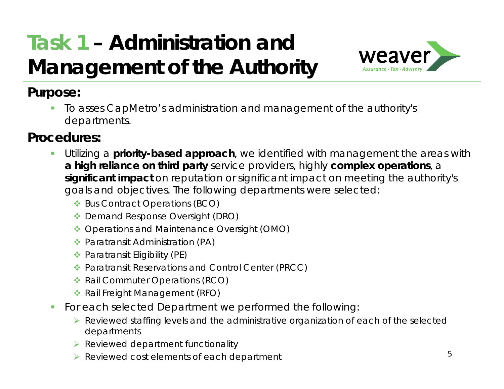## **Task 1 – Administration and Management of the Authority**



#### **Purpose:**

Ш To asses CapMetro's administration and management of the authority's departments.

#### **Procedures:**

- П Utilizing a **priority-based approach**, we identified with management the areas with **a high reliance on third party** service providers, highly **complex operations**, <sup>a</sup> **significant impact** on reputation or significant impact on meeting the authority's goals and objectives. The following departments were selected:
	- Bus Contract Operations (BCO)
	- ◆ Demand Response Oversight (DRO)
	- ◆ Operations and Maintenance Oversight (OMO)
	- Paratransit Administration (PA)
	- ◆ Paratransit Eligibility (PE)
	- Paratransit Reservations and Control Center (PRCC)
	- **◆ Rail Commuter Operations (RCO)**
	- ◆ Rail Freight Management (RFO)
- $\mathcal{C}$  For each selected Department we performed the following:
	- Reviewed staffing levels and the administrative organization of each of the selected departments
	- $\triangleright$  Reviewed department functionality
	- ▶ Reviewed cost elements of each department 5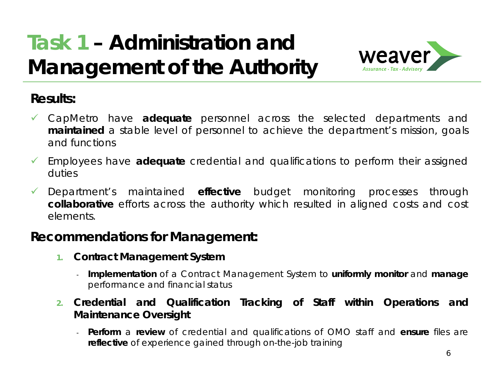## **Task 1 – Administration and Management of the Authority**



#### **Results:**

- CapMetro have **adequate** personnel across the selected departments and **maintained** <sup>a</sup> stable level of personnel to achieve the department's mission, goals and functions
- Employees have **adequate** credential and qualifications to perform their assigned duties
- $\checkmark$  Department's maintained **effective** budget monitoring processes through **collaborative** efforts across the authority which resulted in aligned costs and cost elements.

#### **Recommendations for Management:**

- **1. Contract Management System**
	- - **Implementation** of <sup>a</sup> Contract Management System to **uniformly monitor** and **manage** performance and financial status
- **2. Credential and Qualification Tracking of Staff within Operations and Maintenance Oversight**
	- **Perform** <sup>a</sup> **review** of credential and qualifications of OMO staff and **ensure** files are **reflective** of experience gained through on-the-job training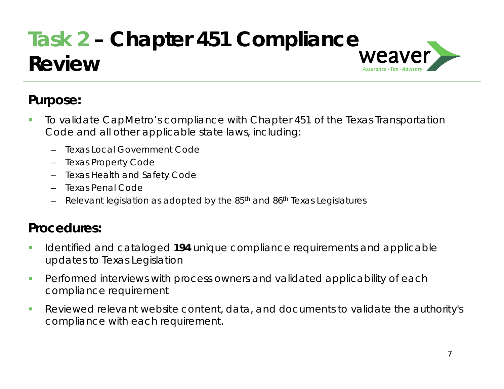### **Task 2 – Chapter 451 Compliance Review**

#### **Purpose:**

- $\overline{\phantom{a}}$  To validate CapMetro's compliance with Chapter 451 of the Texas Transportation Code and all other applicable state laws, including:
	- –Texas Local Government Code
	- –Texas Property Code
	- –Texas Health and Safety Code
	- –Texas Penal Code
	- Relevant legislation as adopted by the 85th and 86th Texas Legislatures

#### **Procedures:**

- $\mathcal{C}$  Identified and cataloged **194** unique compliance requirements and applicable updates to Texas Legislation
- $\mathcal{C}$  Performed interviews with process owners and validated applicability of each compliance requirement
- $\overline{\phantom{a}}$  Reviewed relevant website content, data, and documents to validate the authority's compliance with each requirement.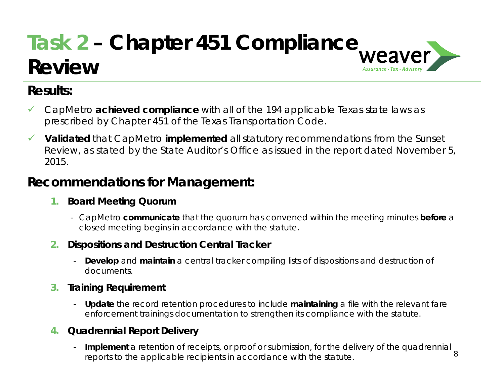### **Task 2 – Chapter 451 Compliance Review**Assurance . Tax .

#### **Results:**

- $\checkmark$  CapMetro **achieved compliance** with all of the 194 applicable Texas state laws as prescribed by Chapter 451 of the Texas Transportation Code.
- $\checkmark$  **Validated** that CapMetro **implemented** all statutory recommendations from the Sunset Review, as stated by the State Auditor's Office as issued in the report dated November 5, 2015.

#### **Recommendations for Management:**

#### **1. Board Meeting Quorum**

- CapMetro **communicate** that the quorum has convened within the meeting minutes **before** <sup>a</sup> closed meeting begins in accordance with the statute.

#### **2.Dispositions and Destruction Central Tracker**

- **Develop** and **maintain** a central tracker compiling lists of dispositions and destruction of documents.

#### **3.Training Requirement**

- **Update** the record retention procedures to include **maintaining** a file with the relevant fare enforcement trainings documentation to strengthen its compliance with the statute.

#### **4. Quadrennial Report Delivery**

**Implement** a retention of receipts, or proof or submission, for the delivery of the quadrennial  $\frac{8}{3}$ reports to the applicable recipients in accordance with the statute.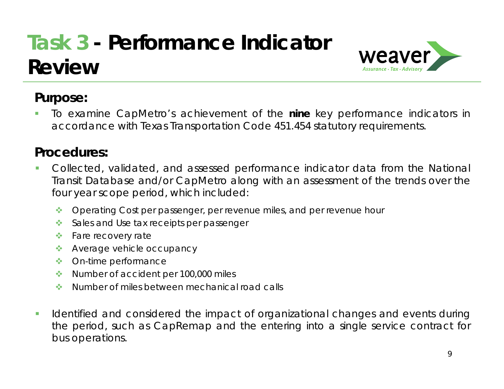## **Task 3 - Performance Indicator Review**



#### **Purpose:**

▁ To examine CapMetro's achievement of the **nine** key performance indicators in accordance with Texas Transportation Code 451.454 statutory requirements.

#### **Procedures:**

- T, Collected, validated, and assessed performance indicator data from the National Transit Database and/or CapMetro along with an assessment of the trends over the four year scope period, which included:
	- $\frac{1}{2}$ Operating Cost per passenger, per revenue miles, and per revenue hour
	- Sales and Use tax receipts per passenger
	- ❖ Fare recovery rate
	- ◆ Average vehicle occupancy
	- On-time performance
	- Number of accident per 100,000 miles
	- $\mathcal{L}(\mathbf{r})$ Number of miles between mechanical road calls
- $\blacksquare$  Identified and considered the impact of organizational changes and events during the period, such as CapRemap and the entering into <sup>a</sup> single service contract for bus operations.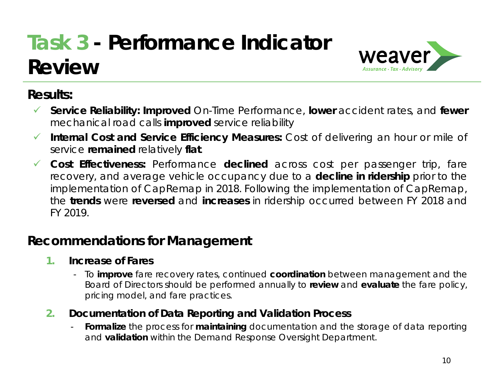## **Task 3 - Performance Indicator Review**



#### **Results:**

- $\checkmark$  **Service Reliability: Improved** On-Time Performance, **lower** accident rates, and **fewer** mechanical road calls **improved** service reliability
- $\checkmark$  **Internal Cost and Service Efficiency Measures:** Cost of delivering an hour or mile of service **remained** relatively **flat**.
- $\checkmark$ **Cost Effectiveness:** Performance **declined** across cost per passenger trip, fare recovery, and average vehicle occupancy due to <sup>a</sup> **decline in ridership** prior to the implementation of CapRemap in 2018. Following the implementation of CapRemap, the **trends** were **reversed** and **increases** in ridership occurred between FY 2018 and FY 2019.

#### **Recommendations for Management**

- **1. Increase of Fares**
	- To **improve** fare recovery rates, continued **coordination** between management and the Board of Directors should be performed annually to **review** and **evaluate** the fare policy, pricing model, and fare practices.
- **2. Documentation of Data Reporting and Validation Process**
	- - **Formalize** the process for **maintaining** documentation and the storage of data reporting and **validation** within the Demand Response Oversight Department.